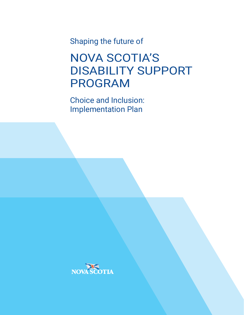Shaping the future of

NOVA SCOTIA'S DISABILITY SUPPORT PROGRAM

Choice and Inclusion: Implementation Plan

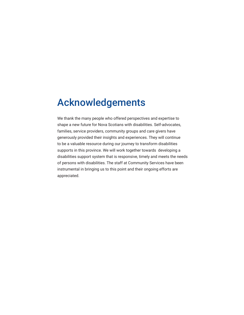### Acknowledgements

We thank the many people who offered perspectives and expertise to shape a new future for Nova Scotians with disabilities. Self-advocates, families, service providers, community groups and care givers have generously provided their insights and experiences. They will continue to be a valuable resource during our journey to transform disabilities supports in this province. We will work together towards developing a disabilities support system that is responsive, timely and meets the needs of persons with disabilities. The staff at Community Services have been instrumental in bringing us to this point and their ongoing efforts are appreciated.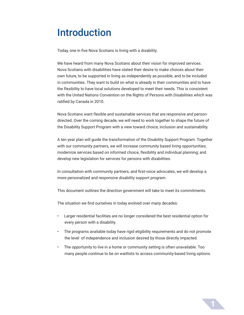### Introduction

Today, one in five Nova Scotians is living with a disability.

We have heard from many Nova Scotians about their vision for improved services. Nova Scotians with disabilities have stated their desire to make choices about their own future, to be supported in living as independently as possible, and to be included in communities. They want to build on what is already in their communities and to have the flexibility to have local solutions developed to meet their needs. This is consistent with the United Nations Convention on the Rights of Persons with Disabilities which was ratified by Canada in 2010.

Nova Scotians want flexible and sustainable services that are responsive and persondirected. Over the coming decade, we will need to work together to shape the future of the Disability Support Program with a view toward choice, inclusion and sustainability.

A ten year plan will guide the transformation of the Disability Support Program. Together with our community partners, we will increase community based living opportunities; modernize services based on informed choice, flexibility and individual planning; and develop new legislation for services for persons with disabilities.

In consultation with community partners, and first-voice advocates, we will develop a more personalized and responsive disability support program.

This document outlines the direction government will take to meet its commitments.

The situation we find ourselves in today evolved over many decades:

- Larger residential facilities are no longer considered the best residential option for every person with a disability.
- The programs available today have rigid eligibility requirements and do not promote the level of independence and inclusion desired by those directly impacted.
- The opportunity to live in a home or community setting is often unavailable. Too many people continue to be on waitlists to access community-based living options.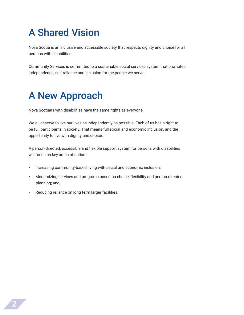# A Shared Vision

Nova Scotia is an inclusive and accessible society that respects dignity and choice for all persons with disabilities.

Community Services is committed to a sustainable social services system that promotes independence, self-reliance and inclusion for the people we serve.

### A New Approach

Nova Scotians with disabilities have the same rights as everyone.

We all deserve to live our lives as independently as possible. Each of us has a right to be full participants in society. That means full social and economic inclusion, and the opportunity to live with dignity and choice.

A person-directed, accessible and flexible support system for persons with disabilities will focus on key areas of action:

- Increasing community-based living with social and economic inclusion;
- Modernizing services and programs based on choice, flexibility and person-directed planning; and,
- Reducing reliance on long term larger facilities.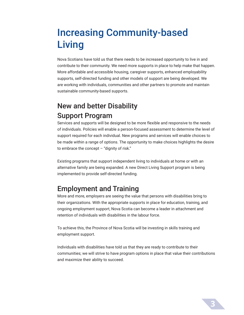### Increasing Community-based Living

Nova Scotians have told us that there needs to be increased opportunity to live in and contribute to their community. We need more supports in place to help make that happen. More affordable and accessible housing, caregiver supports, enhanced employability supports, self-directed funding and other models of support are being developed. We are working with individuals, communities and other partners to promote and maintain sustainable community-based supports.

### New and better Disability Support Program

Services and supports will be designed to be more flexible and responsive to the needs of individuals. Policies will enable a person-focused assessment to determine the level of support required for each individual. New programs and services will enable choices to be made within a range of options. The opportunity to make choices highlights the desire to embrace the concept  $-$  "dignity of risk."

Existing programs that support independent living to individuals at home or with an alternative family are being expanded. A new Direct Living Support program is being implemented to provide self-directed funding.

#### Employment and Training

More and more, employers are seeing the value that persons with disabilities bring to their organizations. With the appropriate supports in place for education, training, and ongoing employment support, Nova Scotia can become a leader in attachment and retention of individuals with disabilities in the labour force.

To achieve this, the Province of Nova Scotia will be investing in skills training and employment support.

Individuals with disabilities have told us that they are ready to contribute to their communities; we will strive to have program options in place that value their contributions and maximize their ability to succeed.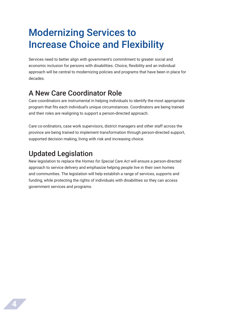### Modernizing Services to Increase Choice and Flexibility

Services need to better align with government's commitment to greater social and economic inclusion for persons with disabilities. Choice, flexibility and an individual approach will be central to modernizing policies and programs that have been in place for decades.

#### A New Care Coordinator Role

Care coordinators are instrumental in helping individuals to identify the most appropriate program that fits each individual's unique circumstances. Coordinators are being trained and their roles are realigning to support a person-directed approach.

Care co-ordinators, case work supervisors, district managers and other staff across the province are being trained to implement transformation through person-directed support, supported decision making, living with risk and increasing choice.

### Updated Legislation

New legislation to replace the *Homes for Special Care Act* will ensure a person-directed approach to service delivery and emphasize helping people live in their own homes and communities. The legislation will help establish a range of services, supports and funding, while protecting the rights of individuals with disabilities so they can access government services and programs.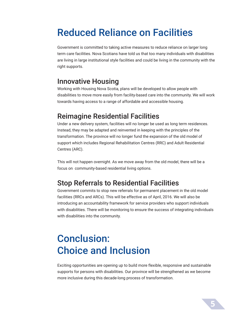### Reduced Reliance on Facilities

Government is committed to taking active measures to reduce reliance on larger long term care facilities. Nova Scotians have told us that too many individuals with disabilities are living in large institutional style facilities and could be living in the community with the right supports.

#### Innovative Housing

Working with Housing Nova Scotia, plans will be developed to allow people with disabilities to move more easily from facility-based care into the community. We will work towards having access to a range of affordable and accessible housing.

#### Reimagine Residential Facilities

Under a new delivery system, facilities will no longer be used as long term residences. Instead, they may be adapted and reinvented in keeping with the principles of the transformation. The province will no longer fund the expansion of the old model of support which includes Regional Rehabilitation Centres (RRC) and Adult Residential Centres (ARC).

This will not happen overnight. As we move away from the old model, there will be a focus on community-based residential living options.

#### Stop Referrals to Residential Facilities

Government commits to stop new referrals for permanent placement in the old model facilities (RRCs and ARCs). This will be effective as of April, 2016. We will also be introducing an accountability framework for service providers who support individuals with disabilities. There will be monitoring to ensure the success of integrating individuals with disabilities into the community.

### Conclusion: Choice and Inclusion

Exciting opportunities are opening up to build more flexible, responsive and sustainable supports for persons with disabilities. Our province will be strengthened as we become more inclusive during this decade-long process of transformation.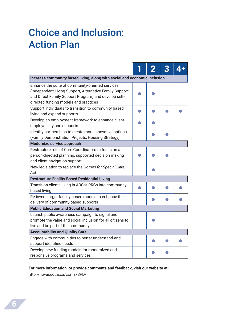## Choice and Inclusion: Action Plan

|                                                                                                                                                                                                              |  |  | 3 |  |
|--------------------------------------------------------------------------------------------------------------------------------------------------------------------------------------------------------------|--|--|---|--|
| Increase community based living, along with social and economic inclusion                                                                                                                                    |  |  |   |  |
| Enhance the suite of community-oriented services<br>(Independent Living Support, Alternative Family Support<br>and Direct Family Support Program) and develop self-<br>directed funding models and practices |  |  |   |  |
| Support individuals to transition to community based<br>living and expand supports                                                                                                                           |  |  |   |  |
| Develop an employment framework to enhance client<br>employability and supports                                                                                                                              |  |  |   |  |
| Identify partnerships to create more innovative options<br>(Family Demonstration Projects, Housing Strategy)                                                                                                 |  |  |   |  |
| Modernize service approach                                                                                                                                                                                   |  |  |   |  |
| Restructure role of Care Coordinators to focus on a<br>person-directed planning, supported decision making<br>and client navigation support                                                                  |  |  |   |  |
| New legislation to replace the Homes for Special Care<br>Act                                                                                                                                                 |  |  |   |  |
| <b>Restructure Facility Based Residential Living</b>                                                                                                                                                         |  |  |   |  |
| Transition clients living in ARCs/ RRCs into community<br>based living                                                                                                                                       |  |  |   |  |
| Re-invent larger facility based models to enhance the<br>delivery of community-based supports                                                                                                                |  |  |   |  |
| <b>Public Education and Social Marketing</b>                                                                                                                                                                 |  |  |   |  |
| Launch public awareness campaign to signal and<br>promote the value and social inclusion for all citizens to<br>live and be part of the community.                                                           |  |  |   |  |
| <b>Accountability and Quality Care</b>                                                                                                                                                                       |  |  |   |  |
| Engage with communities to better understand and<br>support identified needs                                                                                                                                 |  |  |   |  |
| Develop new funding models for modernized and<br>responsive programs and services                                                                                                                            |  |  |   |  |

#### **For more information, or provide comments and feedback, visit our website at;**

http://novascotia.ca/coms/SPD/